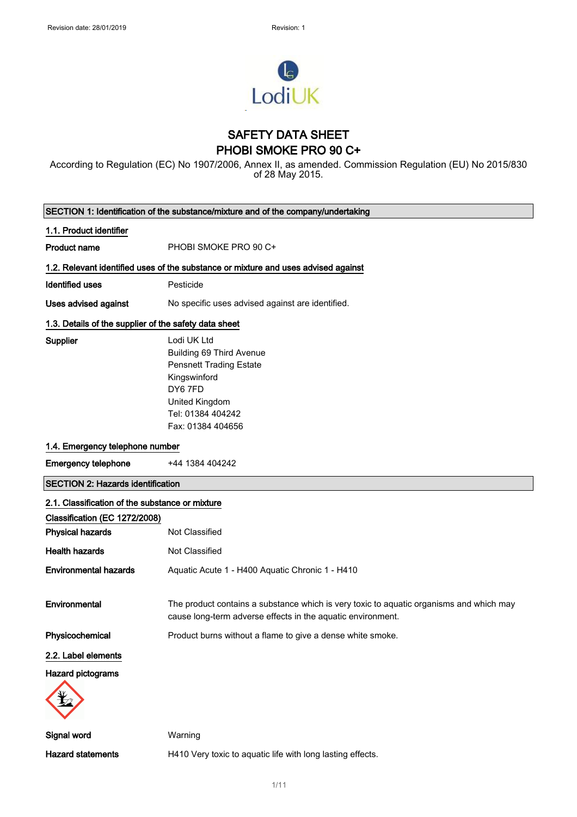

## SAFETY DATA SHEET PHOBI SMOKE PRO 90 C+

According to Regulation (EC) No 1907/2006, Annex II, as amended. Commission Regulation (EU) No 2015/830 of 28 May 2015.

| SECTION 1: Identification of the substance/mixture and of the company/undertaking |                                                                                                                                                        |  |
|-----------------------------------------------------------------------------------|--------------------------------------------------------------------------------------------------------------------------------------------------------|--|
| 1.1. Product identifier                                                           |                                                                                                                                                        |  |
| Product name                                                                      | PHOBI SMOKE PRO 90 C+                                                                                                                                  |  |
|                                                                                   | 1.2. Relevant identified uses of the substance or mixture and uses advised against                                                                     |  |
| Identified uses                                                                   | Pesticide                                                                                                                                              |  |
| <b>Uses advised against</b>                                                       | No specific uses advised against are identified.                                                                                                       |  |
| 1.3. Details of the supplier of the safety data sheet                             |                                                                                                                                                        |  |
| Supplier                                                                          | Lodi UK Ltd                                                                                                                                            |  |
|                                                                                   | Building 69 Third Avenue                                                                                                                               |  |
|                                                                                   | <b>Pensnett Trading Estate</b>                                                                                                                         |  |
|                                                                                   | Kingswinford                                                                                                                                           |  |
|                                                                                   | DY67FD                                                                                                                                                 |  |
|                                                                                   | United Kingdom                                                                                                                                         |  |
|                                                                                   | Tel: 01384 404242                                                                                                                                      |  |
|                                                                                   | Fax: 01384 404656                                                                                                                                      |  |
| 1.4. Emergency telephone number                                                   |                                                                                                                                                        |  |
| <b>Emergency telephone</b>                                                        | +44 1384 404242                                                                                                                                        |  |
| <b>SECTION 2: Hazards identification</b>                                          |                                                                                                                                                        |  |
| 2.1. Classification of the substance or mixture                                   |                                                                                                                                                        |  |
| Classification (EC 1272/2008)                                                     |                                                                                                                                                        |  |
| <b>Physical hazards</b>                                                           | Not Classified                                                                                                                                         |  |
| <b>Health hazards</b>                                                             | Not Classified                                                                                                                                         |  |
| <b>Environmental hazards</b>                                                      | Aquatic Acute 1 - H400 Aquatic Chronic 1 - H410                                                                                                        |  |
|                                                                                   |                                                                                                                                                        |  |
| Environmental                                                                     | The product contains a substance which is very toxic to aquatic organisms and which may<br>cause long-term adverse effects in the aquatic environment. |  |
| Physicochemical                                                                   | Product burns without a flame to give a dense white smoke.                                                                                             |  |
| 2.2. Label elements                                                               |                                                                                                                                                        |  |
| Hazard pictograms                                                                 |                                                                                                                                                        |  |
|                                                                                   |                                                                                                                                                        |  |
| Signal word                                                                       | Warning                                                                                                                                                |  |
| <b>Hazard statements</b>                                                          | H410 Very toxic to aquatic life with long lasting effects.                                                                                             |  |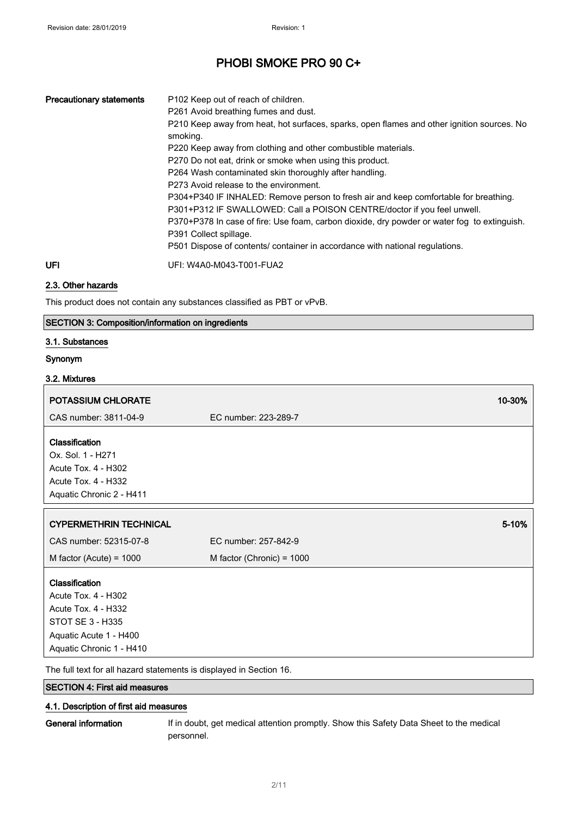| <b>Precautionary statements</b> | P <sub>102</sub> Keep out of reach of children.<br>P261 Avoid breathing fumes and dust.<br>P210 Keep away from heat, hot surfaces, sparks, open flames and other ignition sources. No<br>smoking.<br>P220 Keep away from clothing and other combustible materials.<br>P270 Do not eat, drink or smoke when using this product.<br>P264 Wash contaminated skin thoroughly after handling.<br>P273 Avoid release to the environment.<br>P304+P340 IF INHALED: Remove person to fresh air and keep comfortable for breathing.<br>P301+P312 IF SWALLOWED: Call a POISON CENTRE/doctor if you feel unwell.<br>P370+P378 In case of fire: Use foam, carbon dioxide, dry powder or water fog to extinguish.<br>P391 Collect spillage.<br>P501 Dispose of contents/ container in accordance with national regulations. |
|---------------------------------|----------------------------------------------------------------------------------------------------------------------------------------------------------------------------------------------------------------------------------------------------------------------------------------------------------------------------------------------------------------------------------------------------------------------------------------------------------------------------------------------------------------------------------------------------------------------------------------------------------------------------------------------------------------------------------------------------------------------------------------------------------------------------------------------------------------|
| UFI                             | UFI: W4A0-M043-T001-FUA2                                                                                                                                                                                                                                                                                                                                                                                                                                                                                                                                                                                                                                                                                                                                                                                       |

### 2.3. Other hazards

This product does not contain any substances classified as PBT or vPvB.

### SECTION 3: Composition/information on ingredients

#### 3.1. Substances

#### Synonym

#### 3.2. Mixtures

| <b>POTASSIUM CHLORATE</b>                                                                                         |                             | 10-30% |
|-------------------------------------------------------------------------------------------------------------------|-----------------------------|--------|
| CAS number: 3811-04-9                                                                                             | EC number: 223-289-7        |        |
| Classification<br>Ox. Sol. 1 - H271<br>Acute Tox. 4 - H302<br>Acute Tox. 4 - H332<br>Aquatic Chronic 2 - H411     |                             |        |
| <b>CYPERMETHRIN TECHNICAL</b>                                                                                     |                             | 5-10%  |
| CAS number: 52315-07-8                                                                                            | EC number: 257-842-9        |        |
| M factor (Acute) = $1000$                                                                                         | M factor (Chronic) = $1000$ |        |
| <b>Classification</b><br>Acute Tox. 4 - H302<br>Acute Tox. 4 - H332<br>STOT SE 3 - H335<br>Aquatic Acute 1 - H400 |                             |        |

The full text for all hazard statements is displayed in Section 16.

SECTION 4: First aid measures

### 4.1. Description of first aid measures

General information If in doubt, get medical attention promptly. Show this Safety Data Sheet to the medical personnel.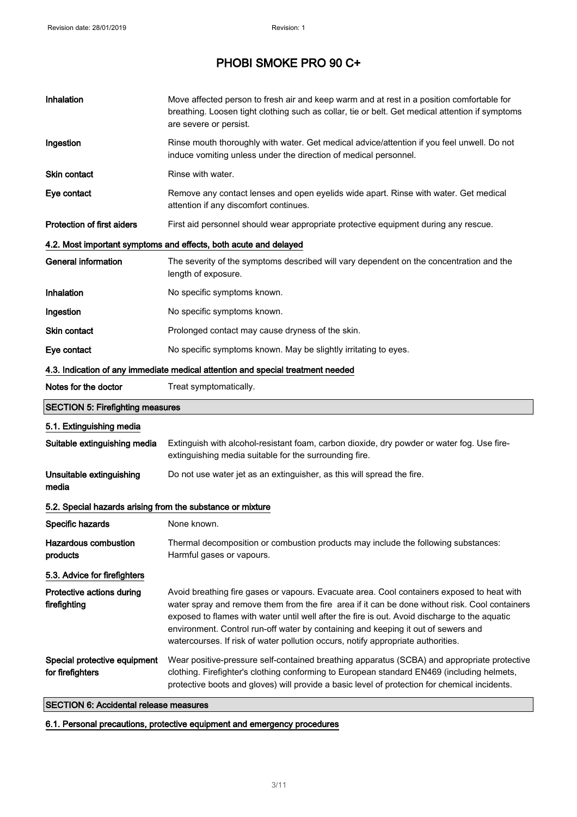| Inhalation                                                 | Move affected person to fresh air and keep warm and at rest in a position comfortable for<br>breathing. Loosen tight clothing such as collar, tie or belt. Get medical attention if symptoms<br>are severe or persist.                                                                                                                                                                                                                                                 |  |  |
|------------------------------------------------------------|------------------------------------------------------------------------------------------------------------------------------------------------------------------------------------------------------------------------------------------------------------------------------------------------------------------------------------------------------------------------------------------------------------------------------------------------------------------------|--|--|
| Ingestion                                                  | Rinse mouth thoroughly with water. Get medical advice/attention if you feel unwell. Do not<br>induce vomiting unless under the direction of medical personnel.                                                                                                                                                                                                                                                                                                         |  |  |
| <b>Skin contact</b>                                        | Rinse with water.                                                                                                                                                                                                                                                                                                                                                                                                                                                      |  |  |
| Eye contact                                                | Remove any contact lenses and open eyelids wide apart. Rinse with water. Get medical<br>attention if any discomfort continues.                                                                                                                                                                                                                                                                                                                                         |  |  |
| Protection of first aiders                                 | First aid personnel should wear appropriate protective equipment during any rescue.                                                                                                                                                                                                                                                                                                                                                                                    |  |  |
|                                                            | 4.2. Most important symptoms and effects, both acute and delayed                                                                                                                                                                                                                                                                                                                                                                                                       |  |  |
| <b>General information</b>                                 | The severity of the symptoms described will vary dependent on the concentration and the<br>length of exposure.                                                                                                                                                                                                                                                                                                                                                         |  |  |
| Inhalation                                                 | No specific symptoms known.                                                                                                                                                                                                                                                                                                                                                                                                                                            |  |  |
| Ingestion                                                  | No specific symptoms known.                                                                                                                                                                                                                                                                                                                                                                                                                                            |  |  |
| Skin contact                                               | Prolonged contact may cause dryness of the skin.                                                                                                                                                                                                                                                                                                                                                                                                                       |  |  |
| Eye contact                                                | No specific symptoms known. May be slightly irritating to eyes.                                                                                                                                                                                                                                                                                                                                                                                                        |  |  |
|                                                            | 4.3. Indication of any immediate medical attention and special treatment needed                                                                                                                                                                                                                                                                                                                                                                                        |  |  |
| Notes for the doctor                                       | Treat symptomatically.                                                                                                                                                                                                                                                                                                                                                                                                                                                 |  |  |
|                                                            |                                                                                                                                                                                                                                                                                                                                                                                                                                                                        |  |  |
| <b>SECTION 5: Firefighting measures</b>                    |                                                                                                                                                                                                                                                                                                                                                                                                                                                                        |  |  |
| 5.1. Extinguishing media                                   |                                                                                                                                                                                                                                                                                                                                                                                                                                                                        |  |  |
| Suitable extinguishing media                               | Extinguish with alcohol-resistant foam, carbon dioxide, dry powder or water fog. Use fire-<br>extinguishing media suitable for the surrounding fire.                                                                                                                                                                                                                                                                                                                   |  |  |
| Unsuitable extinguishing<br>media                          | Do not use water jet as an extinguisher, as this will spread the fire.                                                                                                                                                                                                                                                                                                                                                                                                 |  |  |
| 5.2. Special hazards arising from the substance or mixture |                                                                                                                                                                                                                                                                                                                                                                                                                                                                        |  |  |
| Specific hazards                                           | None known.                                                                                                                                                                                                                                                                                                                                                                                                                                                            |  |  |
| <b>Hazardous combustion</b><br>products                    | Thermal decomposition or combustion products may include the following substances:<br>Harmful gases or vapours.                                                                                                                                                                                                                                                                                                                                                        |  |  |
| 5.3. Advice for firefighters                               |                                                                                                                                                                                                                                                                                                                                                                                                                                                                        |  |  |
| Protective actions during<br>firefighting                  | Avoid breathing fire gases or vapours. Evacuate area. Cool containers exposed to heat with<br>water spray and remove them from the fire area if it can be done without risk. Cool containers<br>exposed to flames with water until well after the fire is out. Avoid discharge to the aquatic<br>environment. Control run-off water by containing and keeping it out of sewers and<br>watercourses. If risk of water pollution occurs, notify appropriate authorities. |  |  |

SECTION 6: Accidental release measures

## 6.1. Personal precautions, protective equipment and emergency procedures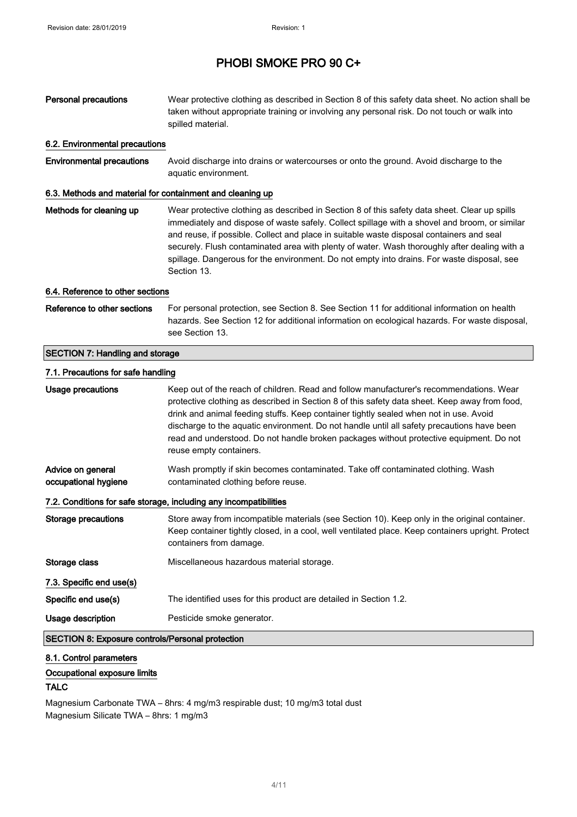| <b>Personal precautions</b>                               | Wear protective clothing as described in Section 8 of this safety data sheet. No action shall be<br>taken without appropriate training or involving any personal risk. Do not touch or walk into<br>spilled material.                                                                                                                                                                                                                                                                                   |
|-----------------------------------------------------------|---------------------------------------------------------------------------------------------------------------------------------------------------------------------------------------------------------------------------------------------------------------------------------------------------------------------------------------------------------------------------------------------------------------------------------------------------------------------------------------------------------|
| 6.2. Environmental precautions                            |                                                                                                                                                                                                                                                                                                                                                                                                                                                                                                         |
| <b>Environmental precautions</b>                          | Avoid discharge into drains or watercourses or onto the ground. Avoid discharge to the<br>aquatic environment.                                                                                                                                                                                                                                                                                                                                                                                          |
| 6.3. Methods and material for containment and cleaning up |                                                                                                                                                                                                                                                                                                                                                                                                                                                                                                         |
| Methods for cleaning up                                   | Wear protective clothing as described in Section 8 of this safety data sheet. Clear up spills<br>immediately and dispose of waste safely. Collect spillage with a shovel and broom, or similar<br>and reuse, if possible. Collect and place in suitable waste disposal containers and seal<br>securely. Flush contaminated area with plenty of water. Wash thoroughly after dealing with a<br>spillage. Dangerous for the environment. Do not empty into drains. For waste disposal, see<br>Section 13. |
| 6.4. Reference to other sections                          |                                                                                                                                                                                                                                                                                                                                                                                                                                                                                                         |
| Reference to other sections                               | For personal protection, see Section 8. See Section 11 for additional information on health<br>hazards. See Section 12 for additional information on ecological hazards. For waste disposal,<br>see Section 13.                                                                                                                                                                                                                                                                                         |
| <b>SECTION 7: Handling and storage</b>                    |                                                                                                                                                                                                                                                                                                                                                                                                                                                                                                         |
| 7.1. Precautions for safe handling                        |                                                                                                                                                                                                                                                                                                                                                                                                                                                                                                         |
| <b>Usage precautions</b>                                  | Keep out of the reach of children. Read and follow manufacturer's recommendations. Wear<br>protective clothing as described in Section 8 of this safety data sheet. Keep away from food,<br>drink and animal feeding stuffs. Keep container tightly sealed when not in use. Avoid<br>discharge to the aquatic environment. Do not handle until all safety precautions have been<br>read and understood. Do not handle broken packages without protective equipment. Do not<br>reuse empty containers.   |
| Advice on general<br>occupational hygiene                 | Wash promptly if skin becomes contaminated. Take off contaminated clothing. Wash<br>contaminated clothing before reuse.                                                                                                                                                                                                                                                                                                                                                                                 |
|                                                           | 7.2. Conditions for safe storage, including any incompatibilities                                                                                                                                                                                                                                                                                                                                                                                                                                       |
| <b>Storage precautions</b>                                | Store away from incompatible materials (see Section 10). Keep only in the original container.<br>Keep container tightly closed, in a cool, well ventilated place. Keep containers upright. Protect<br>containers from damage.                                                                                                                                                                                                                                                                           |
| Storage class                                             | Miscellaneous hazardous material storage.                                                                                                                                                                                                                                                                                                                                                                                                                                                               |
| 7.3. Specific end use(s)                                  |                                                                                                                                                                                                                                                                                                                                                                                                                                                                                                         |
| Specific end use(s)                                       | The identified uses for this product are detailed in Section 1.2.                                                                                                                                                                                                                                                                                                                                                                                                                                       |
| Usage description                                         | Pesticide smoke generator.                                                                                                                                                                                                                                                                                                                                                                                                                                                                              |
| <b>SECTION 8: Exposure controls/Personal protection</b>   |                                                                                                                                                                                                                                                                                                                                                                                                                                                                                                         |

## 8.1. Control parameters

### Occupational exposure limits

## TALC

Magnesium Carbonate TWA – 8hrs: 4 mg/m3 respirable dust; 10 mg/m3 total dust Magnesium Silicate TWA – 8hrs: 1 mg/m3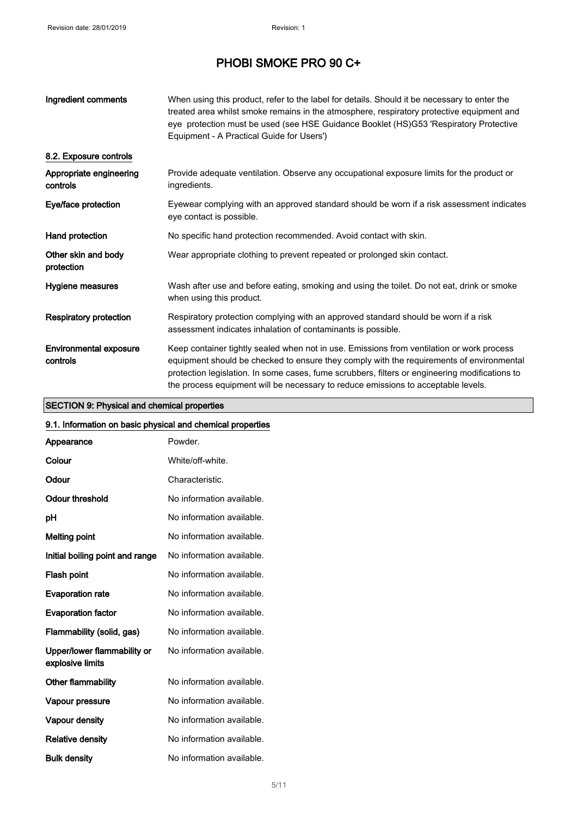| Ingredient comments                       | When using this product, refer to the label for details. Should it be necessary to enter the<br>treated area whilst smoke remains in the atmosphere, respiratory protective equipment and<br>eye protection must be used (see HSE Guidance Booklet (HS)G53 'Respiratory Protective<br>Equipment - A Practical Guide for Users')                                              |
|-------------------------------------------|------------------------------------------------------------------------------------------------------------------------------------------------------------------------------------------------------------------------------------------------------------------------------------------------------------------------------------------------------------------------------|
| 8.2. Exposure controls                    |                                                                                                                                                                                                                                                                                                                                                                              |
| Appropriate engineering<br>controls       | Provide adequate ventilation. Observe any occupational exposure limits for the product or<br>ingredients.                                                                                                                                                                                                                                                                    |
| Eye/face protection                       | Eyewear complying with an approved standard should be worn if a risk assessment indicates<br>eye contact is possible.                                                                                                                                                                                                                                                        |
| Hand protection                           | No specific hand protection recommended. Avoid contact with skin.                                                                                                                                                                                                                                                                                                            |
| Other skin and body<br>protection         | Wear appropriate clothing to prevent repeated or prolonged skin contact.                                                                                                                                                                                                                                                                                                     |
| Hygiene measures                          | Wash after use and before eating, smoking and using the toilet. Do not eat, drink or smoke<br>when using this product.                                                                                                                                                                                                                                                       |
| <b>Respiratory protection</b>             | Respiratory protection complying with an approved standard should be worn if a risk<br>assessment indicates inhalation of contaminants is possible.                                                                                                                                                                                                                          |
| <b>Environmental exposure</b><br>controls | Keep container tightly sealed when not in use. Emissions from ventilation or work process<br>equipment should be checked to ensure they comply with the requirements of environmental<br>protection legislation. In some cases, fume scrubbers, filters or engineering modifications to<br>the process equipment will be necessary to reduce emissions to acceptable levels. |

## SECTION 9: Physical and chemical properties

## 9.1. Information on basic physical and chemical properties

| Appearance                                      | Powder.                   |
|-------------------------------------------------|---------------------------|
| Colour                                          | White/off-white.          |
| Odour                                           | Characteristic.           |
| Odour threshold                                 | No information available. |
| рH                                              | No information available. |
| Melting point                                   | No information available. |
| Initial boiling point and range                 | No information available. |
| Flash point                                     | No information available. |
| <b>Evaporation rate</b>                         | No information available. |
| <b>Evaporation factor</b>                       | No information available. |
| Flammability (solid, gas)                       | No information available. |
| Upper/lower flammability or<br>explosive limits | No information available. |
| Other flammability                              | No information available. |
| Vapour pressure                                 | No information available. |
| <b>Vapour density</b>                           | No information available. |
| <b>Relative density</b>                         | No information available. |
| <b>Bulk density</b>                             | No information available. |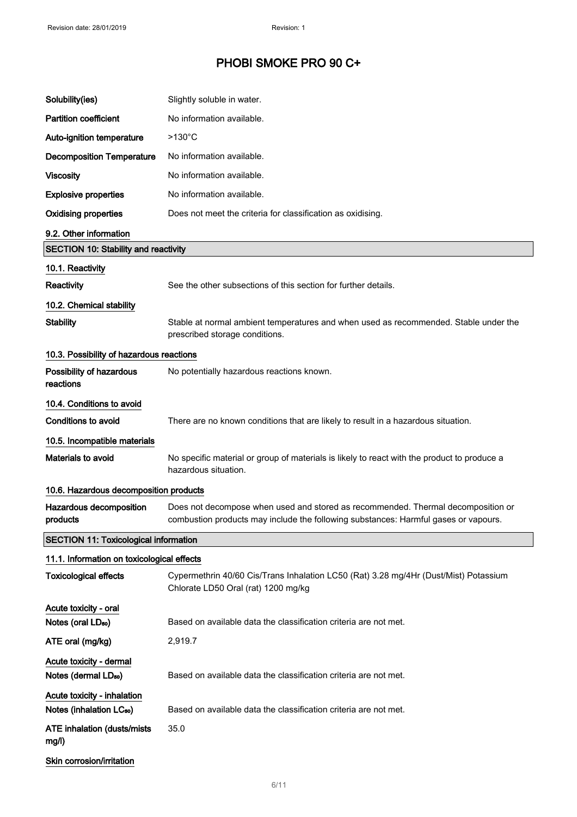| Solubility(ies)                                                     | Slightly soluble in water.                                                                                                                                              |
|---------------------------------------------------------------------|-------------------------------------------------------------------------------------------------------------------------------------------------------------------------|
| <b>Partition coefficient</b>                                        | No information available.                                                                                                                                               |
| Auto-ignition temperature                                           | $>130^{\circ}$ C                                                                                                                                                        |
| <b>Decomposition Temperature</b>                                    | No information available.                                                                                                                                               |
| <b>Viscosity</b>                                                    | No information available.                                                                                                                                               |
| <b>Explosive properties</b>                                         | No information available.                                                                                                                                               |
| <b>Oxidising properties</b>                                         | Does not meet the criteria for classification as oxidising.                                                                                                             |
| 9.2. Other information                                              |                                                                                                                                                                         |
| <b>SECTION 10: Stability and reactivity</b>                         |                                                                                                                                                                         |
| 10.1. Reactivity                                                    |                                                                                                                                                                         |
| Reactivity                                                          | See the other subsections of this section for further details.                                                                                                          |
| 10.2. Chemical stability                                            |                                                                                                                                                                         |
| <b>Stability</b>                                                    | Stable at normal ambient temperatures and when used as recommended. Stable under the<br>prescribed storage conditions.                                                  |
| 10.3. Possibility of hazardous reactions                            |                                                                                                                                                                         |
| Possibility of hazardous<br>reactions                               | No potentially hazardous reactions known.                                                                                                                               |
| 10.4. Conditions to avoid                                           |                                                                                                                                                                         |
| <b>Conditions to avoid</b>                                          | There are no known conditions that are likely to result in a hazardous situation.                                                                                       |
| 10.5. Incompatible materials                                        |                                                                                                                                                                         |
| Materials to avoid                                                  | No specific material or group of materials is likely to react with the product to produce a<br>hazardous situation.                                                     |
| 10.6. Hazardous decomposition products                              |                                                                                                                                                                         |
| Hazardous decomposition<br>products                                 | Does not decompose when used and stored as recommended. Thermal decomposition or<br>combustion products may include the following substances: Harmful gases or vapours. |
| <b>SECTION 11: Toxicological information</b>                        |                                                                                                                                                                         |
| 11.1. Information on toxicological effects                          |                                                                                                                                                                         |
| <b>Toxicological effects</b>                                        | Cypermethrin 40/60 Cis/Trans Inhalation LC50 (Rat) 3.28 mg/4Hr (Dust/Mist) Potassium<br>Chlorate LD50 Oral (rat) 1200 mg/kg                                             |
| Acute toxicity - oral                                               |                                                                                                                                                                         |
| Notes (oral LD <sub>50</sub> )                                      | Based on available data the classification criteria are not met.                                                                                                        |
| ATE oral (mg/kg)                                                    | 2,919.7                                                                                                                                                                 |
| Acute toxicity - dermal<br>Notes (dermal LD <sub>50</sub> )         | Based on available data the classification criteria are not met.                                                                                                        |
| Acute toxicity - inhalation<br>Notes (inhalation LC <sub>50</sub> ) | Based on available data the classification criteria are not met.                                                                                                        |
| <b>ATE inhalation (dusts/mists)</b><br>mg/l)                        | 35.0                                                                                                                                                                    |
| Skin corrosion/irritation                                           |                                                                                                                                                                         |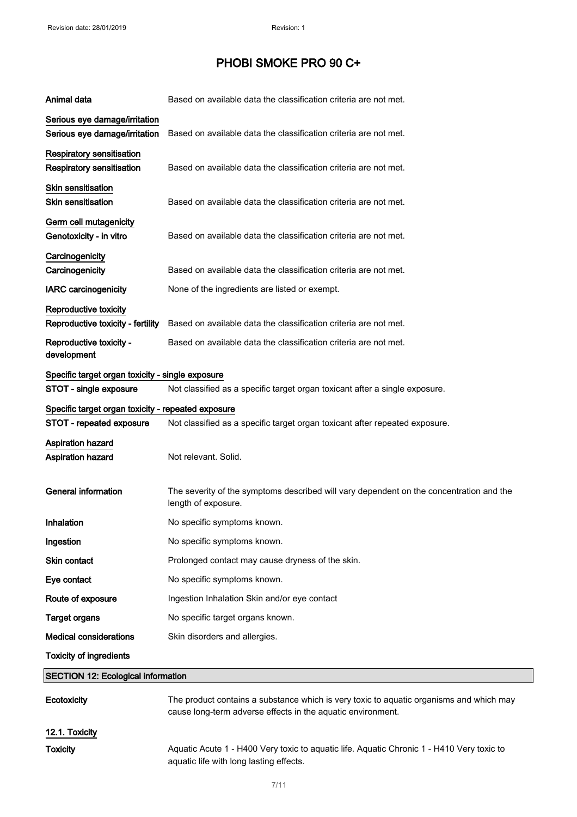| Animal data                                                    | Based on available data the classification criteria are not met.                                                                                       |
|----------------------------------------------------------------|--------------------------------------------------------------------------------------------------------------------------------------------------------|
| Serious eye damage/irritation<br>Serious eye damage/irritation | Based on available data the classification criteria are not met.                                                                                       |
| Respiratory sensitisation<br><b>Respiratory sensitisation</b>  | Based on available data the classification criteria are not met.                                                                                       |
| <b>Skin sensitisation</b><br><b>Skin sensitisation</b>         | Based on available data the classification criteria are not met.                                                                                       |
| Germ cell mutagenicity<br>Genotoxicity - in vitro              | Based on available data the classification criteria are not met.                                                                                       |
| Carcinogenicity<br>Carcinogenicity                             | Based on available data the classification criteria are not met.                                                                                       |
| <b>IARC</b> carcinogenicity                                    | None of the ingredients are listed or exempt.                                                                                                          |
| Reproductive toxicity<br>Reproductive toxicity - fertility     | Based on available data the classification criteria are not met.                                                                                       |
| Reproductive toxicity -<br>development                         | Based on available data the classification criteria are not met.                                                                                       |
| Specific target organ toxicity - single exposure               |                                                                                                                                                        |
| STOT - single exposure                                         | Not classified as a specific target organ toxicant after a single exposure.                                                                            |
| Specific target organ toxicity - repeated exposure             |                                                                                                                                                        |
| STOT - repeated exposure                                       | Not classified as a specific target organ toxicant after repeated exposure.                                                                            |
| Aspiration hazard<br>Aspiration hazard                         | Not relevant. Solid.                                                                                                                                   |
| <b>General information</b>                                     | The severity of the symptoms described will vary dependent on the concentration and the<br>length of exposure.                                         |
| Inhalation                                                     | No specific symptoms known.                                                                                                                            |
| Ingestion                                                      | No specific symptoms known.                                                                                                                            |
| Skin contact                                                   | Prolonged contact may cause dryness of the skin.                                                                                                       |
| Eye contact                                                    | No specific symptoms known.                                                                                                                            |
| Route of exposure                                              | Ingestion Inhalation Skin and/or eye contact                                                                                                           |
| <b>Target organs</b>                                           | No specific target organs known.                                                                                                                       |
| <b>Medical considerations</b>                                  | Skin disorders and allergies.                                                                                                                          |
| <b>Toxicity of ingredients</b>                                 |                                                                                                                                                        |
| <b>SECTION 12: Ecological information</b>                      |                                                                                                                                                        |
| Ecotoxicity                                                    | The product contains a substance which is very toxic to aquatic organisms and which may<br>cause long-term adverse effects in the aquatic environment. |
| 12.1. Toxicity                                                 |                                                                                                                                                        |

Toxicity Maquatic Acute 1 - H400 Very toxic to aquatic life. Aquatic Chronic 1 - H410 Very toxic to aquatic life with long lasting effects.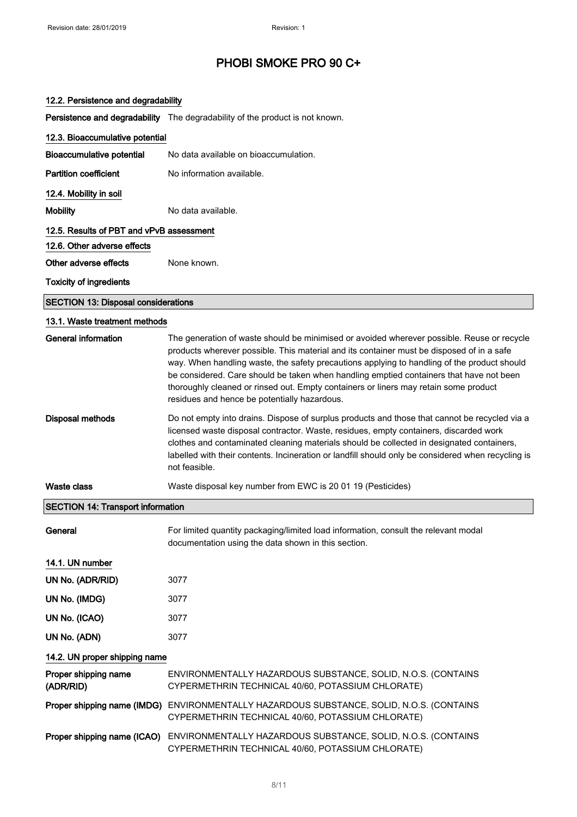### 12.2. Persistence and degradability

Persistence and degradability The degradability of the product is not known.

| 12.3. Bioaccumulative potential            |                                                                                                                                                                                                                                                                                                                                                                                                                                                                                                                           |
|--------------------------------------------|---------------------------------------------------------------------------------------------------------------------------------------------------------------------------------------------------------------------------------------------------------------------------------------------------------------------------------------------------------------------------------------------------------------------------------------------------------------------------------------------------------------------------|
| <b>Bioaccumulative potential</b>           | No data available on bioaccumulation.                                                                                                                                                                                                                                                                                                                                                                                                                                                                                     |
| <b>Partition coefficient</b>               | No information available.                                                                                                                                                                                                                                                                                                                                                                                                                                                                                                 |
| 12.4. Mobility in soil                     |                                                                                                                                                                                                                                                                                                                                                                                                                                                                                                                           |
| <b>Mobility</b>                            | No data available.                                                                                                                                                                                                                                                                                                                                                                                                                                                                                                        |
| 12.5. Results of PBT and vPvB assessment   |                                                                                                                                                                                                                                                                                                                                                                                                                                                                                                                           |
| 12.6. Other adverse effects                |                                                                                                                                                                                                                                                                                                                                                                                                                                                                                                                           |
| Other adverse effects                      | None known.                                                                                                                                                                                                                                                                                                                                                                                                                                                                                                               |
| <b>Toxicity of ingredients</b>             |                                                                                                                                                                                                                                                                                                                                                                                                                                                                                                                           |
| <b>SECTION 13: Disposal considerations</b> |                                                                                                                                                                                                                                                                                                                                                                                                                                                                                                                           |
| 13.1. Waste treatment methods              |                                                                                                                                                                                                                                                                                                                                                                                                                                                                                                                           |
| General information                        | The generation of waste should be minimised or avoided wherever possible. Reuse or recycle<br>products wherever possible. This material and its container must be disposed of in a safe<br>way. When handling waste, the safety precautions applying to handling of the product should<br>be considered. Care should be taken when handling emptied containers that have not been<br>thoroughly cleaned or rinsed out. Empty containers or liners may retain some product<br>residues and hence be potentially hazardous. |
| <b>Disposal methods</b>                    | Do not empty into drains. Dispose of surplus products and those that cannot be recycled via a<br>licensed waste disposal contractor. Waste, residues, empty containers, discarded work<br>clothes and contaminated cleaning materials should be collected in designated containers,<br>labelled with their contents. Incineration or landfill should only be considered when recycling is<br>not feasible.                                                                                                                |
| <b>Waste class</b>                         | Waste disposal key number from EWC is 20 01 19 (Pesticides)                                                                                                                                                                                                                                                                                                                                                                                                                                                               |
| <b>SECTION 14: Transport information</b>   |                                                                                                                                                                                                                                                                                                                                                                                                                                                                                                                           |
| General                                    | For limited quantity packaging/limited load information, consult the relevant modal<br>documentation using the data shown in this section.                                                                                                                                                                                                                                                                                                                                                                                |
| 14.1. UN number                            |                                                                                                                                                                                                                                                                                                                                                                                                                                                                                                                           |
| UN No. (ADR/RID)                           | 3077                                                                                                                                                                                                                                                                                                                                                                                                                                                                                                                      |
| UN No. (IMDG)                              | 3077                                                                                                                                                                                                                                                                                                                                                                                                                                                                                                                      |
| UN No. (ICAO)                              | 3077                                                                                                                                                                                                                                                                                                                                                                                                                                                                                                                      |
| UN No. (ADN)                               | 3077                                                                                                                                                                                                                                                                                                                                                                                                                                                                                                                      |
| 14.2. UN proper shipping name              |                                                                                                                                                                                                                                                                                                                                                                                                                                                                                                                           |
| Proper shipping name<br>(ADR/RID)          | ENVIRONMENTALLY HAZARDOUS SUBSTANCE, SOLID, N.O.S. (CONTAINS<br>CYPERMETHRIN TECHNICAL 40/60, POTASSIUM CHLORATE)                                                                                                                                                                                                                                                                                                                                                                                                         |
| Proper shipping name (IMDG)                | ENVIRONMENTALLY HAZARDOUS SUBSTANCE, SOLID, N.O.S. (CONTAINS<br>CYPERMETHRIN TECHNICAL 40/60, POTASSIUM CHLORATE)                                                                                                                                                                                                                                                                                                                                                                                                         |
| Proper shipping name (ICAO)                | ENVIRONMENTALLY HAZARDOUS SUBSTANCE, SOLID, N.O.S. (CONTAINS<br>CYPERMETHRIN TECHNICAL 40/60, POTASSIUM CHLORATE)                                                                                                                                                                                                                                                                                                                                                                                                         |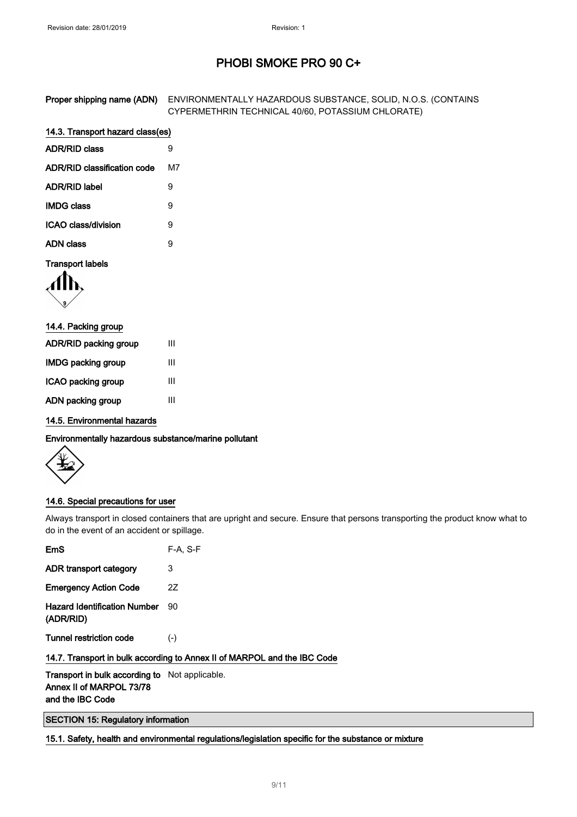| Proper shipping name (ADN) ENVIRONMENTALLY HAZARDOUS SUBSTANCE, SOLID, N.O.S. (CONTAINS |
|-----------------------------------------------------------------------------------------|
| CYPERMETHRIN TECHNICAL 40/60, POTASSIUM CHLORATE)                                       |

#### 14.3. Transport hazard class(es)  $ADR/DR \cdot b$

| ADR/RID class               | ч  |
|-----------------------------|----|
| ADR/RID classification code | M7 |
| <b>ADR/RID label</b>        | g  |
| <b>IMDG class</b>           | 9  |
| ICAO class/division         | я  |
| ADN class                   | я  |

### Transport labels

$$
\langle \prod_{i} \mathbf{b}_{i}
$$

| 14.4. Packing group   |   |
|-----------------------|---|
| ADR/RID packing group | Ш |
| IMDG packing group    | Ш |
| ICAO packing group    | Ш |
| ADN packing group     | Ш |

14.5. Environmental hazards

Environmentally hazardous substance/marine pollutant

### 14.6. Special precautions for user

Always transport in closed containers that are upright and secure. Ensure that persons transporting the product know what to do in the event of an accident or spillage.

| <b>EmS</b>                                                               | $F-A. S-F$ |  |
|--------------------------------------------------------------------------|------------|--|
| ADR transport category                                                   | 3          |  |
| <b>Emergency Action Code</b>                                             | 2Z         |  |
| <b>Hazard Identification Number</b><br>(ADR/RID)                         | 90         |  |
| <b>Tunnel restriction code</b>                                           | $(-)$      |  |
| 14.7. Transport in bulk according to Annex II of MARPOL and the IBC Code |            |  |

Transport in bulk according to Not applicable. Annex II of MARPOL 73/78 and the IBC Code

SECTION 15: Regulatory information

15.1. Safety, health and environmental regulations/legislation specific for the substance or mixture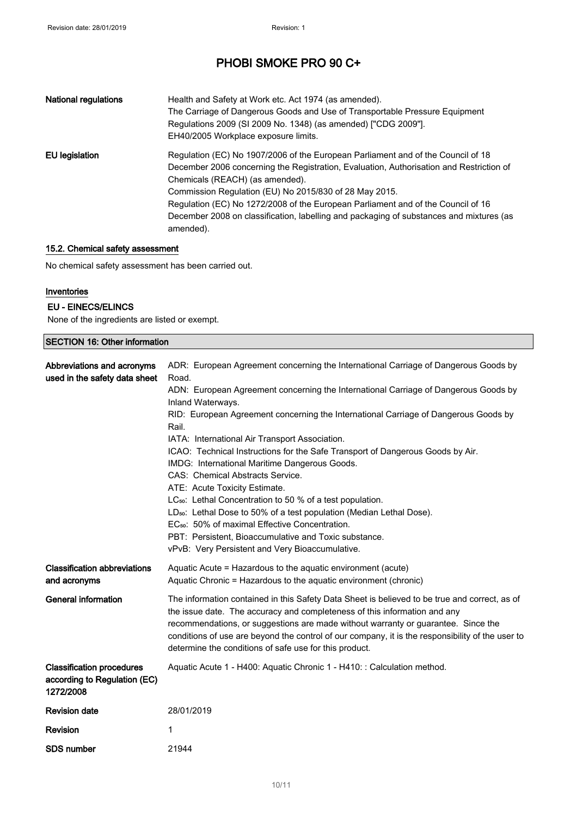| <b>National regulations</b> | Health and Safety at Work etc. Act 1974 (as amended).<br>The Carriage of Dangerous Goods and Use of Transportable Pressure Equipment<br>Regulations 2009 (SI 2009 No. 1348) (as amended) ["CDG 2009"].<br>EH40/2005 Workplace exposure limits.                                                                                                                                                                                                                       |
|-----------------------------|----------------------------------------------------------------------------------------------------------------------------------------------------------------------------------------------------------------------------------------------------------------------------------------------------------------------------------------------------------------------------------------------------------------------------------------------------------------------|
| EU legislation              | Regulation (EC) No 1907/2006 of the European Parliament and of the Council of 18<br>December 2006 concerning the Registration, Evaluation, Authorisation and Restriction of<br>Chemicals (REACH) (as amended).<br>Commission Regulation (EU) No 2015/830 of 28 May 2015.<br>Regulation (EC) No 1272/2008 of the European Parliament and of the Council of 16<br>December 2008 on classification, labelling and packaging of substances and mixtures (as<br>amended). |

### 15.2. Chemical safety assessment

No chemical safety assessment has been carried out.

### Inventories

### EU - EINECS/ELINCS

None of the ingredients are listed or exempt.

| <b>SECTION 16: Other information</b>                                          |                                                                                                                                                                                                                                                                                                                                                                                                                                                                                                                                                                                                                                                                                                                                                                                                                                                                                                           |  |
|-------------------------------------------------------------------------------|-----------------------------------------------------------------------------------------------------------------------------------------------------------------------------------------------------------------------------------------------------------------------------------------------------------------------------------------------------------------------------------------------------------------------------------------------------------------------------------------------------------------------------------------------------------------------------------------------------------------------------------------------------------------------------------------------------------------------------------------------------------------------------------------------------------------------------------------------------------------------------------------------------------|--|
| Abbreviations and acronyms<br>used in the safety data sheet                   | ADR: European Agreement concerning the International Carriage of Dangerous Goods by<br>Road.<br>ADN: European Agreement concerning the International Carriage of Dangerous Goods by<br>Inland Waterways.<br>RID: European Agreement concerning the International Carriage of Dangerous Goods by<br>Rail.<br>IATA: International Air Transport Association.<br>ICAO: Technical Instructions for the Safe Transport of Dangerous Goods by Air.<br>IMDG: International Maritime Dangerous Goods.<br>CAS: Chemical Abstracts Service.<br>ATE: Acute Toxicity Estimate.<br>LC <sub>50</sub> : Lethal Concentration to 50 % of a test population.<br>LD <sub>50</sub> : Lethal Dose to 50% of a test population (Median Lethal Dose).<br>EC <sub>50</sub> : 50% of maximal Effective Concentration.<br>PBT: Persistent, Bioaccumulative and Toxic substance.<br>vPvB: Very Persistent and Very Bioaccumulative. |  |
| <b>Classification abbreviations</b><br>and acronyms                           | Aquatic Acute = Hazardous to the aquatic environment (acute)<br>Aquatic Chronic = Hazardous to the aquatic environment (chronic)                                                                                                                                                                                                                                                                                                                                                                                                                                                                                                                                                                                                                                                                                                                                                                          |  |
| General information                                                           | The information contained in this Safety Data Sheet is believed to be true and correct, as of<br>the issue date. The accuracy and completeness of this information and any<br>recommendations, or suggestions are made without warranty or guarantee. Since the<br>conditions of use are beyond the control of our company, it is the responsibility of the user to<br>determine the conditions of safe use for this product.                                                                                                                                                                                                                                                                                                                                                                                                                                                                             |  |
| <b>Classification procedures</b><br>according to Regulation (EC)<br>1272/2008 | Aquatic Acute 1 - H400: Aquatic Chronic 1 - H410: : Calculation method.                                                                                                                                                                                                                                                                                                                                                                                                                                                                                                                                                                                                                                                                                                                                                                                                                                   |  |
| <b>Revision date</b>                                                          | 28/01/2019                                                                                                                                                                                                                                                                                                                                                                                                                                                                                                                                                                                                                                                                                                                                                                                                                                                                                                |  |
| <b>Revision</b>                                                               | 1                                                                                                                                                                                                                                                                                                                                                                                                                                                                                                                                                                                                                                                                                                                                                                                                                                                                                                         |  |
| <b>SDS number</b>                                                             | 21944                                                                                                                                                                                                                                                                                                                                                                                                                                                                                                                                                                                                                                                                                                                                                                                                                                                                                                     |  |